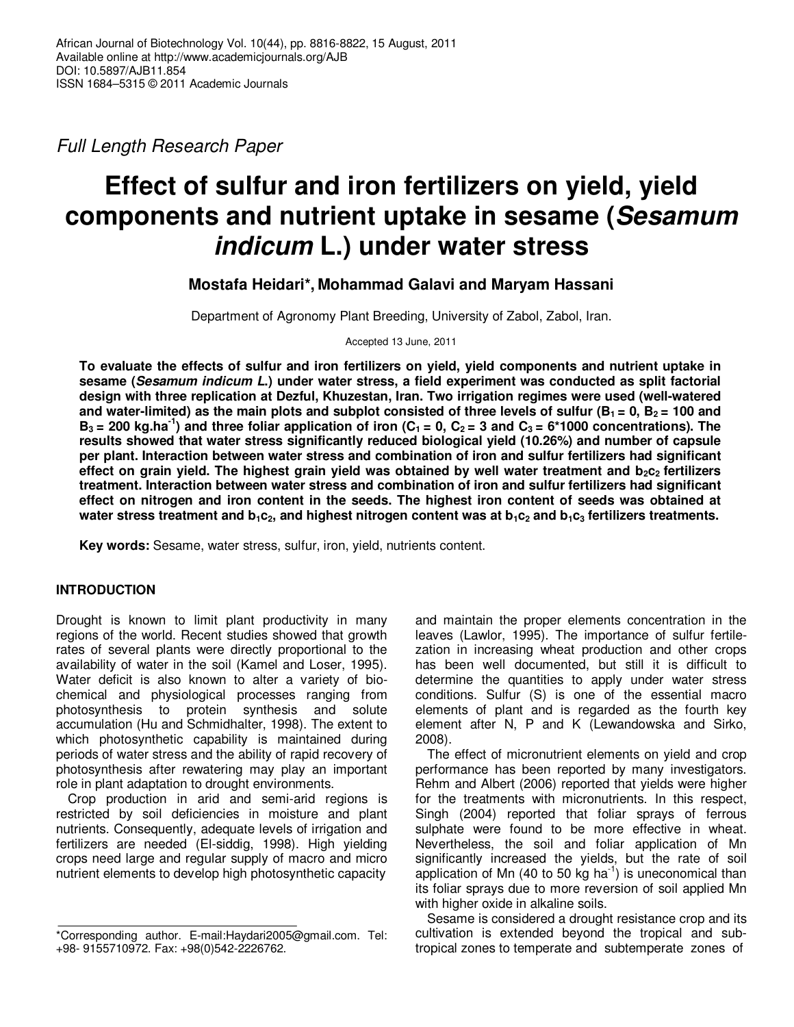Full Length Research Paper

# **Effect of sulfur and iron fertilizers on yield, yield components and nutrient uptake in sesame (Sesamum indicum L.) under water stress**

## **Mostafa Heidari\*, Mohammad Galavi and Maryam Hassani**

Department of Agronomy Plant Breeding, University of Zabol, Zabol, Iran.

Accepted 13 June, 2011

**To evaluate the effects of sulfur and iron fertilizers on yield, yield components and nutrient uptake in sesame (Sesamum indicum L.) under water stress, a field experiment was conducted as split factorial design with three replication at Dezful, Khuzestan, Iran. Two irrigation regimes were used (well-watered** and water-limited) as the main plots and subplot consisted of three levels of sulfur ( $B_1 = 0$ ,  $B_2 = 100$  and  $B_3 = 200$  kg.ha<sup>-1</sup>) and three foliar application of iron (C<sub>1</sub> = 0, C<sub>2</sub> = 3 and C<sub>3</sub> = 6\*1000 concentrations). The **results showed that water stress significantly reduced biological yield (10.26%) and number of capsule per plant. Interaction between water stress and combination of iron and sulfur fertilizers had significant effect on grain yield. The highest grain yield was obtained by well water treatment and b2c2 fertilizers treatment. Interaction between water stress and combination of iron and sulfur fertilizers had significant effect on nitrogen and iron content in the seeds. The highest iron content of seeds was obtained at water stress treatment and b1c2, and highest nitrogen content was at b1c2 and b1c3 fertilizers treatments.** 

**Key words:** Sesame, water stress, sulfur, iron, yield, nutrients content.

## **INTRODUCTION**

Drought is known to limit plant productivity in many regions of the world. Recent studies showed that growth rates of several plants were directly proportional to the availability of water in the soil (Kamel and Loser, 1995). Water deficit is also known to alter a variety of biochemical and physiological processes ranging from photosynthesis to protein synthesis and solute accumulation (Hu and Schmidhalter, 1998). The extent to which photosynthetic capability is maintained during periods of water stress and the ability of rapid recovery of photosynthesis after rewatering may play an important role in plant adaptation to drought environments.

Crop production in arid and semi-arid regions is restricted by soil deficiencies in moisture and plant nutrients. Consequently, adequate levels of irrigation and fertilizers are needed (El-siddig, 1998). High yielding crops need large and regular supply of macro and micro nutrient elements to develop high photosynthetic capacity

and maintain the proper elements concentration in the leaves (Lawlor, 1995). The importance of sulfur fertilezation in increasing wheat production and other crops has been well documented, but still it is difficult to determine the quantities to apply under water stress conditions. Sulfur (S) is one of the essential macro elements of plant and is regarded as the fourth key element after N, P and K (Lewandowska and Sirko, 2008).

The effect of micronutrient elements on yield and crop performance has been reported by many investigators. Rehm and Albert (2006) reported that yields were higher for the treatments with micronutrients. In this respect, Singh (2004) reported that foliar sprays of ferrous sulphate were found to be more effective in wheat. Nevertheless, the soil and foliar application of Mn significantly increased the yields, but the rate of soil application of Mn (40 to 50 kg ha<sup>-1</sup>) is uneconomical than its foliar sprays due to more reversion of soil applied Mn with higher oxide in alkaline soils.

Sesame is considered a drought resistance crop and its cultivation is extended beyond the tropical and subtropical zones to temperate and subtemperate zones of

<sup>\*</sup>Corresponding author. E-mail:Haydari2005@gmail.com. Tel: +98- 9155710972. Fax: +98(0)542-2226762.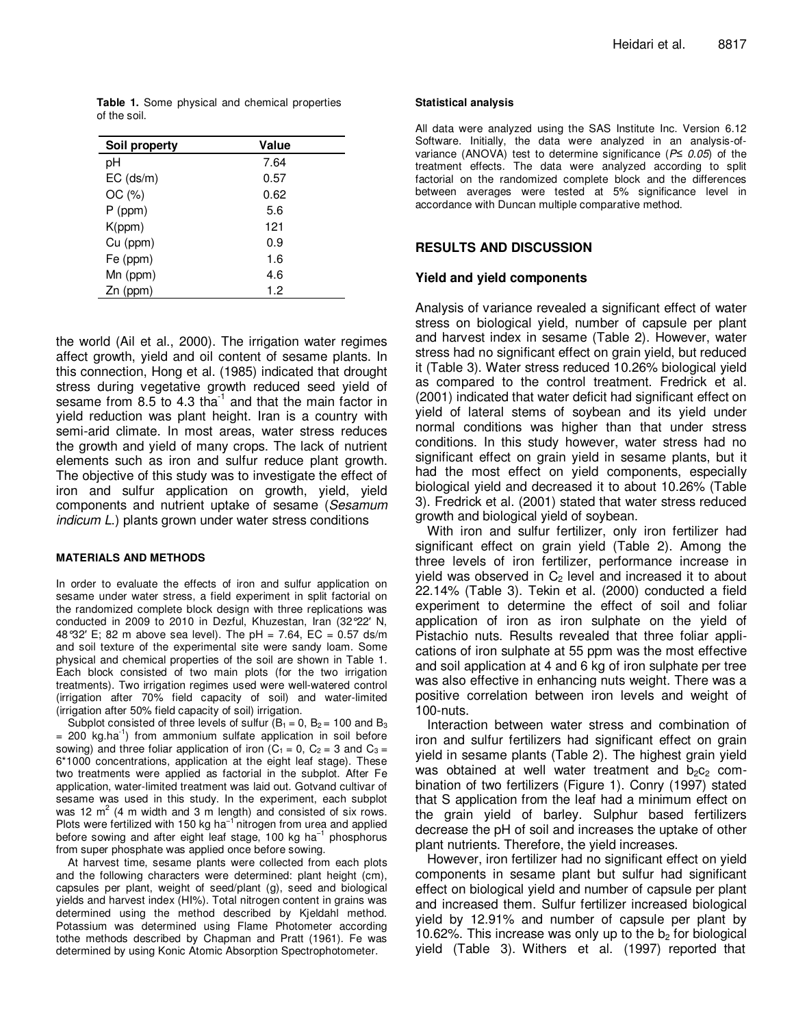**Table 1.** Some physical and chemical properties of the soil.

| Soil property | Value |
|---------------|-------|
| рH            | 7.64  |
| $EC$ (ds/m)   | 0.57  |
| OC(%)         | 0.62  |
| $P$ (ppm)     | 5.6   |
| K(ppm)        | 121   |
| Cu (ppm)      | 0.9   |
| Fe (ppm)      | 1.6   |
| Mn (ppm)      | 4.6   |
| $Zn$ (ppm)    | 1.2   |

the world (Ail et al., 2000). The irrigation water regimes affect growth, yield and oil content of sesame plants. In this connection, Hong et al. (1985) indicated that drought stress during vegetative growth reduced seed yield of sesame from 8.5 to 4.3 tha $^{-1}$  and that the main factor in yield reduction was plant height. Iran is a country with semi-arid climate. In most areas, water stress reduces the growth and yield of many crops. The lack of nutrient elements such as iron and sulfur reduce plant growth. The objective of this study was to investigate the effect of iron and sulfur application on growth, yield, yield components and nutrient uptake of sesame (Sesamum indicum L.) plants grown under water stress conditions

#### **MATERIALS AND METHODS**

In order to evaluate the effects of iron and sulfur application on sesame under water stress, a field experiment in split factorial on the randomized complete block design with three replications was conducted in 2009 to 2010 in Dezful, Khuzestan, Iran (32°22′ N, 48°32′ E; 82 m above sea level). The pH = 7.64, EC = 0.57 ds/m and soil texture of the experimental site were sandy loam. Some physical and chemical properties of the soil are shown in Table 1. Each block consisted of two main plots (for the two irrigation treatments). Two irrigation regimes used were well-watered control (irrigation after 70% field capacity of soil) and water-limited (irrigation after 50% field capacity of soil) irrigation.

Subplot consisted of three levels of sulfur ( $B_1 = 0$ ,  $B_2 = 100$  and  $B_3$ )  $= 200$  kg.ha<sup>-1</sup>) from ammonium sulfate application in soil before sowing) and three foliar application of iron ( $C_1 = 0$ ,  $C_2 = 3$  and  $C_3 =$ 6\*1000 concentrations, application at the eight leaf stage). These two treatments were applied as factorial in the subplot. After Fe application, water-limited treatment was laid out. Gotvand cultivar of sesame was used in this study. In the experiment, each subplot was 12  $m^2$  (4 m width and 3 m length) and consisted of six rows. Plots were fertilized with 150 kg ha<sup>-1</sup> nitrogen from urea and applied before sowing and after eight leaf stage, 100 kg ha<sup>-1</sup> phosphorus from super phosphate was applied once before sowing.

At harvest time, sesame plants were collected from each plots and the following characters were determined: plant height (cm), capsules per plant, weight of seed/plant (g), seed and biological yields and harvest index (HI%). Total nitrogen content in grains was determined using the method described by Kjeldahl method. Potassium was determined using Flame Photometer according tothe methods described by Chapman and Pratt (1961). Fe was determined by using Konic Atomic Absorption Spectrophotometer.

#### **Statistical analysis**

All data were analyzed using the SAS Institute Inc. Version 6.12 Software. Initially, the data were analyzed in an analysis-ofvariance (ANOVA) test to determine significance (P*≤* 0.05) of the treatment effects. The data were analyzed according to split factorial on the randomized complete block and the differences between averages were tested at 5% significance level in accordance with Duncan multiple comparative method.

### **RESULTS AND DISCUSSION**

#### **Yield and yield components**

Analysis of variance revealed a significant effect of water stress on biological yield, number of capsule per plant and harvest index in sesame (Table 2). However, water stress had no significant effect on grain yield, but reduced it (Table 3). Water stress reduced 10.26% biological yield as compared to the control treatment. Fredrick et al. (2001) indicated that water deficit had significant effect on yield of lateral stems of soybean and its yield under normal conditions was higher than that under stress conditions. In this study however, water stress had no significant effect on grain yield in sesame plants, but it had the most effect on yield components, especially biological yield and decreased it to about 10.26% (Table 3). Fredrick et al. (2001) stated that water stress reduced growth and biological yield of soybean.

With iron and sulfur fertilizer, only iron fertilizer had significant effect on grain yield (Table 2). Among the three levels of iron fertilizer, performance increase in yield was observed in  $C_2$  level and increased it to about 22.14% (Table 3). Tekin et al. (2000) conducted a field experiment to determine the effect of soil and foliar application of iron as iron sulphate on the yield of Pistachio nuts. Results revealed that three foliar applications of iron sulphate at 55 ppm was the most effective and soil application at 4 and 6 kg of iron sulphate per tree was also effective in enhancing nuts weight. There was a positive correlation between iron levels and weight of 100-nuts.

Interaction between water stress and combination of iron and sulfur fertilizers had significant effect on grain yield in sesame plants (Table 2). The highest grain yield was obtained at well water treatment and  $b_2c_2$  combination of two fertilizers (Figure 1). Conry (1997) stated that S application from the leaf had a minimum effect on the grain yield of barley. Sulphur based fertilizers decrease the pH of soil and increases the uptake of other plant nutrients. Therefore, the yield increases.

However, iron fertilizer had no significant effect on yield components in sesame plant but sulfur had significant effect on biological yield and number of capsule per plant and increased them. Sulfur fertilizer increased biological yield by 12.91% and number of capsule per plant by 10.62%. This increase was only up to the  $b<sub>2</sub>$  for biological yield (Table 3). Withers et al. (1997) reported that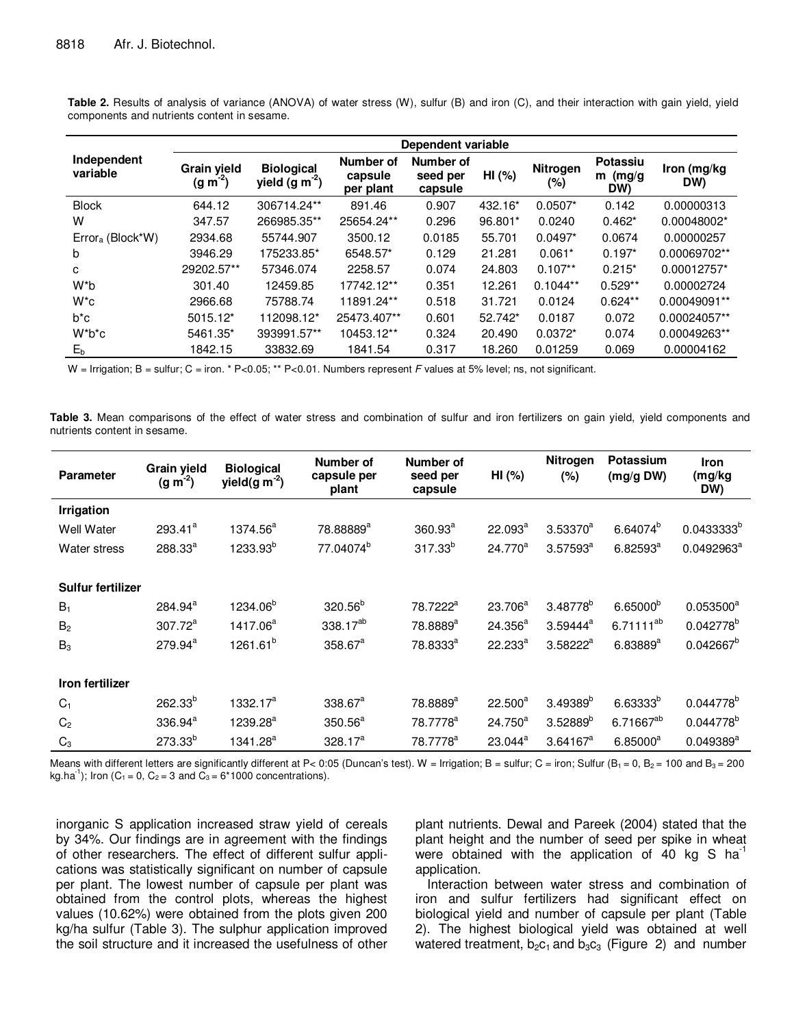|                         | Dependent variable          |                                      |                                   |                                  |         |                 |                              |                    |  |
|-------------------------|-----------------------------|--------------------------------------|-----------------------------------|----------------------------------|---------|-----------------|------------------------------|--------------------|--|
| Independent<br>variable | Grain yield<br>$(g m^{-2})$ | <b>Biological</b><br>yield $(g m-2)$ | Number of<br>capsule<br>per plant | Number of<br>seed per<br>capsule | HI (%)  | Nitrogen<br>(%) | Potassiu<br>$m$ (mg/g<br>DW) | Iron (mg/kg<br>DW) |  |
| <b>Block</b>            | 644.12                      | 306714.24**                          | 891.46                            | 0.907                            | 432.16* | $0.0507*$       | 0.142                        | 0.00000313         |  |
| W                       | 347.57                      | 266985.35**                          | 25654.24**                        | 0.296                            | 96.801* | 0.0240          | $0.462*$                     | 0.00048002*        |  |
| $Error_a$ (Block*W)     | 2934.68                     | 55744.907                            | 3500.12                           | 0.0185                           | 55.701  | $0.0497*$       | 0.0674                       | 0.00000257         |  |
| b                       | 3946.29                     | 175233.85*                           | 6548.57*                          | 0.129                            | 21.281  | $0.061*$        | $0.197*$                     | 0.00069702**       |  |
| c                       | 29202.57**                  | 57346.074                            | 2258.57                           | 0.074                            | 24.803  | $0.107**$       | $0.215*$                     | 0.00012757*        |  |
| W*b                     | 301.40                      | 12459.85                             | 17742.12**                        | 0.351                            | 12.261  | $0.1044**$      | $0.529**$                    | 0.00002724         |  |
| $W^*c$                  | 2966.68                     | 75788.74                             | 11891.24**                        | 0.518                            | 31.721  | 0.0124          | $0.624**$                    | 0.00049091**       |  |
| $b^*c$                  | 5015.12*                    | 112098.12*                           | 25473.407**                       | 0.601                            | 52.742* | 0.0187          | 0.072                        | 0.00024057**       |  |
| $W^*b^*c$               | 5461.35*                    | 393991.57**                          | 10453.12**                        | 0.324                            | 20.490  | $0.0372*$       | 0.074                        | 0.00049263**       |  |
| $E_b$                   | 1842.15                     | 33832.69                             | 1841.54                           | 0.317                            | 18.260  | 0.01259         | 0.069                        | 0.00004162         |  |

**Table 2.** Results of analysis of variance (ANOVA) of water stress (W), sulfur (B) and iron (C), and their interaction with gain yield, yield components and nutrients content in sesame.

W = Irrigation; B = sulfur; C = iron. \* P<0.05; \*\* P<0.01. Numbers represent F values at 5% level; ns, not significant.

**Table 3.** Mean comparisons of the effect of water stress and combination of sulfur and iron fertilizers on gain yield, yield components and nutrients content in sesame.

| <b>Parameter</b>  | <b>Grain vield</b><br>$(g m-2)$ | <b>Biological</b><br>yield(g $m^{-2}$ ) | Number of<br>capsule per<br>plant | Number of<br>seed per<br>capsule | HI (%)              | Nitrogen<br>(%)      | <b>Potassium</b><br>(mg/g DW) | <b>Iron</b><br>(mg/kg<br>DW) |
|-------------------|---------------------------------|-----------------------------------------|-----------------------------------|----------------------------------|---------------------|----------------------|-------------------------------|------------------------------|
| Irrigation        |                                 |                                         |                                   |                                  |                     |                      |                               |                              |
| <b>Well Water</b> | $293.41^{a}$                    | 1374.56 <sup>a</sup>                    | 78.88889 <sup>a</sup>             | $360.93^a$                       | $22.093^a$          | $3.53370^{a}$        | $6.64074^{b}$                 | $0.0433333^{b}$              |
| Water stress      | 288.33 <sup>a</sup>             | 1233.93 <sup>b</sup>                    | 77.04074 <sup>b</sup>             | $317.33^{b}$                     | $24.770^a$          | $3.57593^{a}$        | $6.82593^{a}$                 | $0.0492963^a$                |
| Sulfur fertilizer |                                 |                                         |                                   |                                  |                     |                      |                               |                              |
| $B_1$             | $284.94^a$                      | 1234.06 <sup>b</sup>                    | $320.56^{b}$                      | 78.7222 <sup>a</sup>             | $23.706^a$          | 3.48778 <sup>b</sup> | $6.65000^{b}$                 | $0.053500^a$                 |
| B <sub>2</sub>    | $307.72^a$                      | 1417.06 <sup>a</sup>                    | 338.17 <sup>ab</sup>              | 78.8889 <sup>a</sup>             | $24.356^a$          | $3.59444^a$          | $6.71111^{ab}$                | $0.042778^{b}$               |
| $B_3$             | 279.94 <sup>a</sup>             | 1261.61 <sup>b</sup>                    | $358.67^a$                        | 78.8333 <sup>a</sup>             | $22.233^{a}$        | $3.58222^a$          | $6.83889^{a}$                 | $0.042667^{b}$               |
| Iron fertilizer   |                                 |                                         |                                   |                                  |                     |                      |                               |                              |
| $C_1$             | $262.33^{b}$                    | 1332.17 <sup>a</sup>                    | $338.67^a$                        | 78.8889 <sup>a</sup>             | $22.500^a$          | $3.49389^{b}$        | $6.63333^{b}$                 | 0.044778 <sup>b</sup>        |
| C <sub>2</sub>    | 336.94 <sup>a</sup>             | 1239.28 <sup>a</sup>                    | $350.56^a$                        | 78.7778 <sup>a</sup>             | $24.750^a$          | $3.52889^{b}$        | 6.71667 <sup>ab</sup>         | 0.044778 <sup>b</sup>        |
| $C_3$             | $273.33^{b}$                    | 1341.28 <sup>a</sup>                    | $328.17^a$                        | 78.7778 <sup>a</sup>             | 23.044 <sup>a</sup> | $3.64167^a$          | $6.85000^a$                   | $0.049389^a$                 |

Means with different letters are significantly different at P< 0:05 (Duncan's test). W = Irrigation; B = sulfur; C = iron; Sulfur (B<sub>1</sub> = 0, B<sub>2</sub> = 100 and B<sub>3</sub> = 200 kg.ha<sup>-1</sup>); Iron (C<sub>1</sub> = 0, C<sub>2</sub> = 3 and C<sub>3</sub> = 6\*1000 concentrations).

inorganic S application increased straw yield of cereals by 34%. Our findings are in agreement with the findings of other researchers. The effect of different sulfur applications was statistically significant on number of capsule per plant. The lowest number of capsule per plant was obtained from the control plots, whereas the highest values (10.62%) were obtained from the plots given 200 kg/ha sulfur (Table 3). The sulphur application improved the soil structure and it increased the usefulness of other

plant nutrients. Dewal and Pareek (2004) stated that the plant height and the number of seed per spike in wheat were obtained with the application of 40 kg S  $ha^{-1}$ application.

Interaction between water stress and combination of iron and sulfur fertilizers had significant effect on biological yield and number of capsule per plant (Table 2). The highest biological yield was obtained at well watered treatment,  $b_2c_1$  and  $b_3c_3$  (Figure 2) and number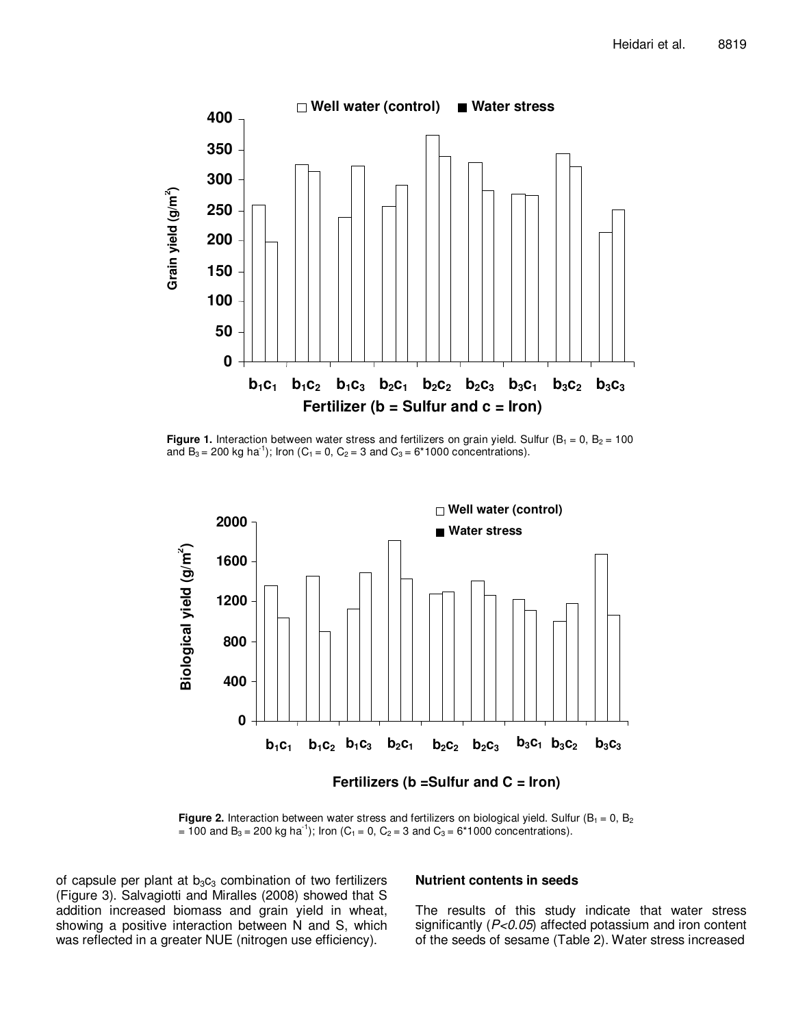

**Figure 1.** Interaction between water stress and fertilizers on grain yield. Sulfur ( $B_1 = 0$ ,  $B_2 = 100$ and B<sub>3</sub> = 200 kg ha<sup>-1</sup>); Iron (C<sub>1</sub> = 0, C<sub>2</sub> = 3 and C<sub>3</sub> = 6\*1000 concentrations).



**Figure 2.** Interaction between water stress and fertilizers on biological yield. Sulfur ( $B_1 = 0$ ,  $B_2$ ) = 100 and B<sub>3</sub> = 200 kg ha<sup>-1</sup>); Iron (C<sub>1</sub> = 0, C<sub>2</sub> = 3 and C<sub>3</sub> = 6\*1000 concentrations).

of capsule per plant at  $b_3c_3$  combination of two fertilizers (Figure 3). Salvagiotti and Miralles (2008) showed that S addition increased biomass and grain yield in wheat, showing a positive interaction between N and S, which was reflected in a greater NUE (nitrogen use efficiency).

#### **Nutrient contents in seeds**

The results of this study indicate that water stress significantly (P<0.05) affected potassium and iron content of the seeds of sesame (Table 2). Water stress increased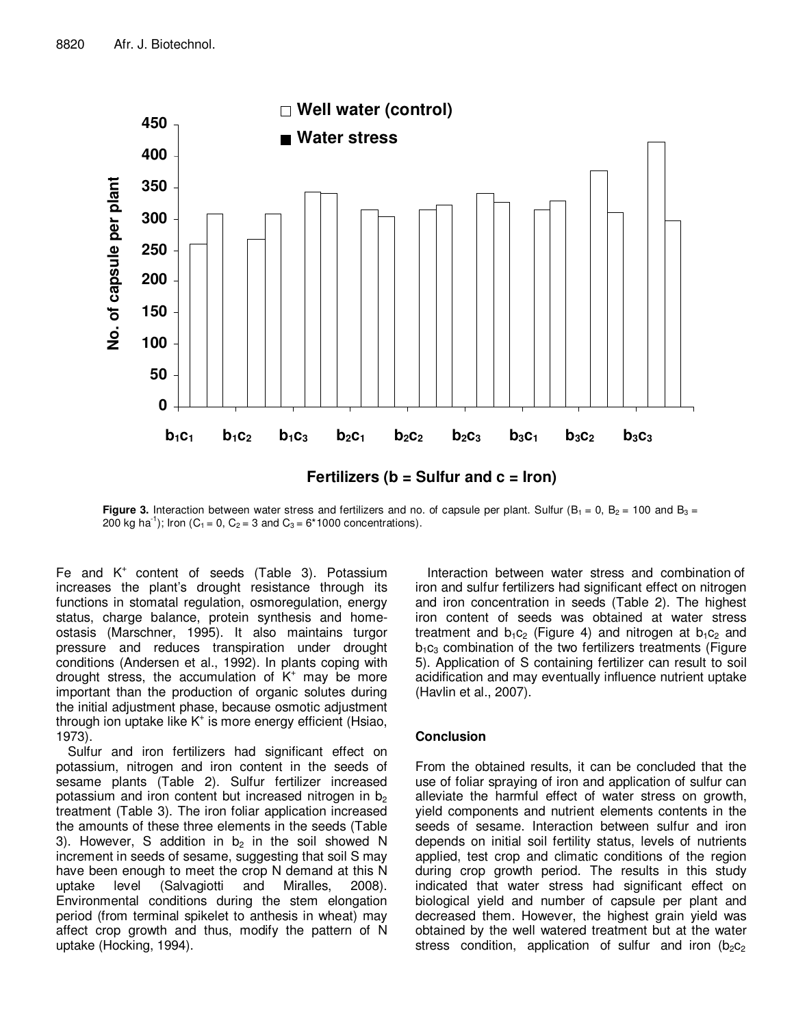

**Figure 3.** Interaction between water stress and fertilizers and no. of capsule per plant. Sulfur ( $B_1 = 0$ ,  $B_2 = 100$  and  $B_3 = 100$ 200 kg ha<sup>-1</sup>); Iron (C<sub>1</sub> = 0, C<sub>2</sub> = 3 and C<sub>3</sub> = 6\*1000 concentrations).

Fe and  $K^+$  content of seeds (Table 3). Potassium increases the plant's drought resistance through its functions in stomatal regulation, osmoregulation, energy status, charge balance, protein synthesis and homeostasis (Marschner, 1995). It also maintains turgor pressure and reduces transpiration under drought conditions (Andersen et al., 1992). In plants coping with drought stress, the accumulation of  $K^+$  may be more important than the production of organic solutes during the initial adjustment phase, because osmotic adjustment through ion uptake like K<sup>+</sup> is more energy efficient (Hsiao, 1973).

Sulfur and iron fertilizers had significant effect on potassium, nitrogen and iron content in the seeds of sesame plants (Table 2). Sulfur fertilizer increased potassium and iron content but increased nitrogen in  $b<sub>2</sub>$ treatment (Table 3). The iron foliar application increased the amounts of these three elements in the seeds (Table 3). However, S addition in  $b_2$  in the soil showed N increment in seeds of sesame, suggesting that soil S may have been enough to meet the crop N demand at this N uptake level (Salvagiotti and Miralles, 2008). Environmental conditions during the stem elongation period (from terminal spikelet to anthesis in wheat) may affect crop growth and thus, modify the pattern of N uptake (Hocking, 1994).

Interaction between water stress and combination of iron and sulfur fertilizers had significant effect on nitrogen and iron concentration in seeds (Table 2). The highest iron content of seeds was obtained at water stress treatment and  $b_1c_2$  (Figure 4) and nitrogen at  $b_1c_2$  and  $b_1c_3$  combination of the two fertilizers treatments (Figure 5). Application of S containing fertilizer can result to soil acidification and may eventually influence nutrient uptake (Havlin et al., 2007).

#### **Conclusion**

From the obtained results, it can be concluded that the use of foliar spraying of iron and application of sulfur can alleviate the harmful effect of water stress on growth, yield components and nutrient elements contents in the seeds of sesame. Interaction between sulfur and iron depends on initial soil fertility status, levels of nutrients applied, test crop and climatic conditions of the region during crop growth period. The results in this study indicated that water stress had significant effect on biological yield and number of capsule per plant and decreased them. However, the highest grain yield was obtained by the well watered treatment but at the water stress condition, application of sulfur and iron ( $b_2c_2$ )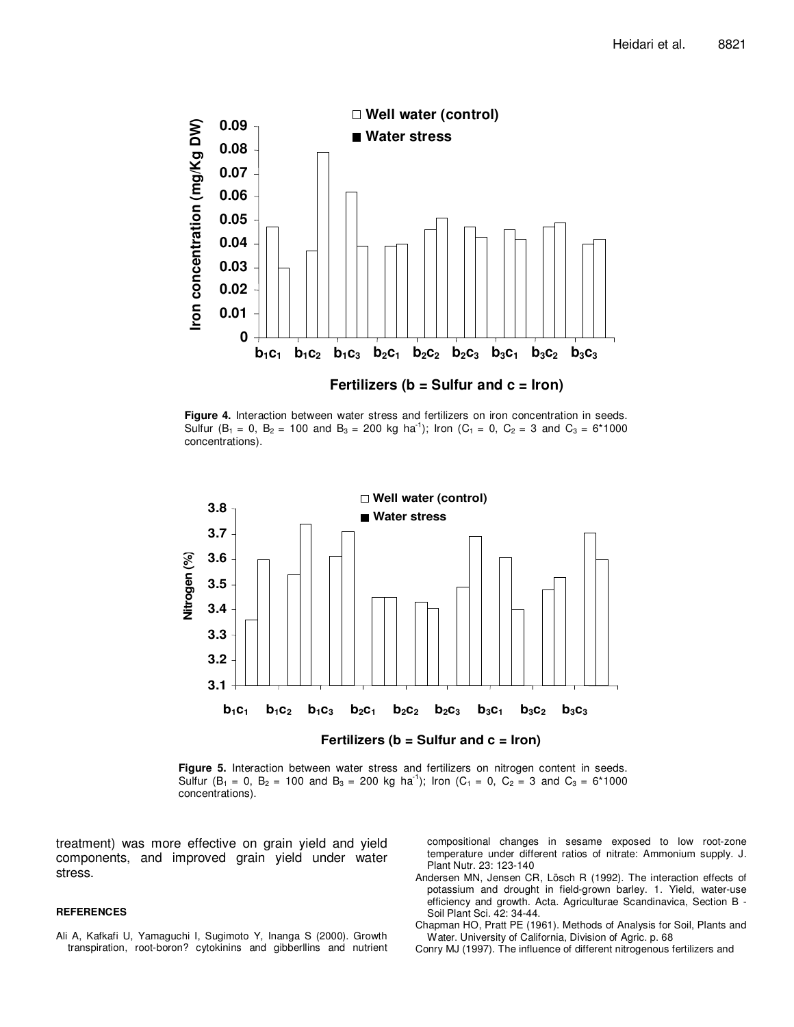

**Figure 4.** Interaction between water stress and fertilizers on iron concentration in seeds. Sulfur  $(B_1 = 0, B_2 = 100$  and  $B_3 = 200$  kg ha<sup>-1</sup>); Iron  $(C_1 = 0, C_2 = 3$  and  $C_3 = 6*1000$ concentrations).



**Figure 5.** Interaction between water stress and fertilizers on nitrogen content in seeds. Sulfur (B<sub>1</sub> = 0, B<sub>2</sub> = 100 and B<sub>3</sub> = 200 kg ha<sup>-1</sup>); Iron (C<sub>1</sub> = 0, C<sub>2</sub> = 3 and C<sub>3</sub> = 6\*1000 concentrations).

treatment) was more effective on grain yield and yield components, and improved grain yield under water stress.

#### **REFERENCES**

Ali A, Kafkafi U, Yamaguchi I, Sugimoto Y, Inanga S (2000). Growth transpiration, root-boron? cytokinins and gibberllins and nutrient compositional changes in sesame exposed to low root-zone temperature under different ratios of nitrate: Ammonium supply. J. Plant Nutr. 23: 123-140

- Andersen MN, Jensen CR, Lösch R (1992). The interaction effects of potassium and drought in field-grown barley. 1. Yield, water-use efficiency and growth. Acta. Agriculturae Scandinavica, Section B - Soil Plant Sci. 42: 34-44.
- Chapman HO, Pratt PE (1961). Methods of Analysis for Soil, Plants and Water. University of California, Division of Agric. p. 68
- Conry MJ (1997). The influence of different nitrogenous fertilizers and